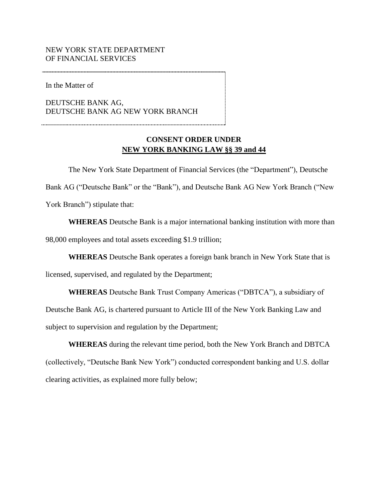## NEW YORK STATE DEPARTMENT OF FINANCIAL SERVICES

In the Matter of

DEUTSCHE BANK AG, DEUTSCHE BANK AG NEW YORK BRANCH

## **NEW YORK BANKING LAW §§ 39 and 44 CONSENT ORDER UNDER**

The New York State Department of Financial Services (the "Department"), Deutsche Bank AG ("Deutsche Bank" or the "Bank"), and Deutsche Bank AG New York Branch ("New York Branch") stipulate that:

 **WHEREAS** Deutsche Bank is a major international banking institution with more than 98,000 employees and total assets exceeding \$1.9 trillion;

**WHEREAS** Deutsche Bank operates a foreign bank branch in New York State that is

licensed, supervised, and regulated by the Department;

**WHEREAS** Deutsche Bank Trust Company Americas ("DBTCA"), a subsidiary of

 Deutsche Bank AG, is chartered pursuant to Article III of the New York Banking Law and subject to supervision and regulation by the Department;

**WHEREAS** during the relevant time period, both the New York Branch and DBTCA (collectively, "Deutsche Bank New York") conducted correspondent banking and U.S. dollar clearing activities, as explained more fully below;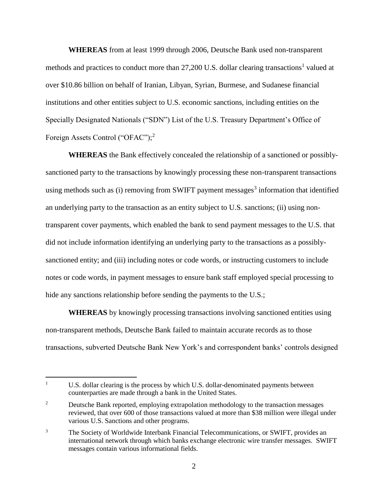**WHEREAS** from at least 1999 through 2006, Deutsche Bank used non-transparent methods and practices to conduct more than  $27,200$  U.S. dollar clearing transactions<sup>1</sup> valued at over \$10.86 billion on behalf of Iranian, Libyan, Syrian, Burmese, and Sudanese financial institutions and other entities subject to U.S. economic sanctions, including entities on the Specially Designated Nationals ("SDN") List of the U.S. Treasury Department's Office of Foreign Assets Control ("OFAC");<sup>2</sup>

 sanctioned entity; and (iii) including notes or code words, or instructing customers to include **WHEREAS** the Bank effectively concealed the relationship of a sanctioned or possiblysanctioned party to the transactions by knowingly processing these non-transparent transactions using methods such as (i) removing from SWIFT payment messages<sup>3</sup> information that identified an underlying party to the transaction as an entity subject to U.S. sanctions; (ii) using nontransparent cover payments, which enabled the bank to send payment messages to the U.S. that did not include information identifying an underlying party to the transactions as a possiblynotes or code words, in payment messages to ensure bank staff employed special processing to hide any sanctions relationship before sending the payments to the U.S.;

**WHEREAS** by knowingly processing transactions involving sanctioned entities using non-transparent methods, Deutsche Bank failed to maintain accurate records as to those transactions, subverted Deutsche Bank New York's and correspondent banks' controls designed

 $\overline{a}$ 

 $\mathbf{1}$ U.S. dollar clearing is the process by which U.S. dollar-denominated payments between counterparties are made through a bank in the United States.

 $\overline{c}$  reviewed, that over 600 of those transactions valued at more than \$38 million were illegal under Deutsche Bank reported, employing extrapolation methodology to the transaction messages various U.S. Sanctions and other programs.

 $\mathfrak{Z}$ The Society of Worldwide Interbank Financial Telecommunications, or SWIFT, provides an international network through which banks exchange electronic wire transfer messages. SWIFT messages contain various informational fields.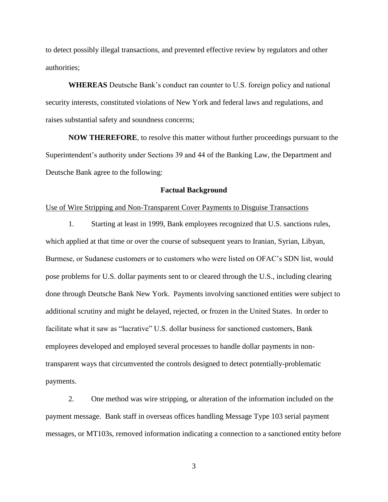to detect possibly illegal transactions, and prevented effective review by regulators and other authorities;

**WHEREAS** Deutsche Bank's conduct ran counter to U.S. foreign policy and national security interests, constituted violations of New York and federal laws and regulations, and raises substantial safety and soundness concerns;

**NOW THEREFORE**, to resolve this matter without further proceedings pursuant to the Superintendent's authority under Sections 39 and 44 of the Banking Law, the Department and Deutsche Bank agree to the following:

#### **Factual Background**

#### Use of Wire Stripping and Non-Transparent Cover Payments to Disguise Transactions

1. Starting at least in 1999, Bank employees recognized that U.S. sanctions rules, which applied at that time or over the course of subsequent years to Iranian, Syrian, Libyan, Burmese, or Sudanese customers or to customers who were listed on OFAC's SDN list, would pose problems for U.S. dollar payments sent to or cleared through the U.S., including clearing done through Deutsche Bank New York. Payments involving sanctioned entities were subject to additional scrutiny and might be delayed, rejected, or frozen in the United States. In order to facilitate what it saw as "lucrative" U.S. dollar business for sanctioned customers, Bank employees developed and employed several processes to handle dollar payments in nontransparent ways that circumvented the controls designed to detect potentially-problematic payments.

2. One method was wire stripping, or alteration of the information included on the payment message. Bank staff in overseas offices handling Message Type 103 serial payment messages, or MT103s, removed information indicating a connection to a sanctioned entity before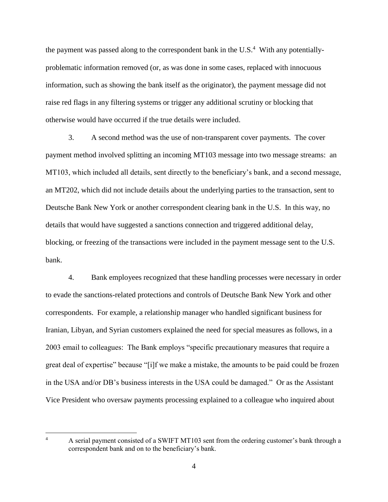the payment was passed along to the correspondent bank in the U.S. $<sup>4</sup>$  With any potentially-</sup> problematic information removed (or, as was done in some cases, replaced with innocuous information, such as showing the bank itself as the originator), the payment message did not raise red flags in any filtering systems or trigger any additional scrutiny or blocking that otherwise would have occurred if the true details were included.

3. A second method was the use of non-transparent cover payments. The cover payment method involved splitting an incoming MT103 message into two message streams: an MT103, which included all details, sent directly to the beneficiary's bank, and a second message, an MT202, which did not include details about the underlying parties to the transaction, sent to Deutsche Bank New York or another correspondent clearing bank in the U.S. In this way, no details that would have suggested a sanctions connection and triggered additional delay, blocking, or freezing of the transactions were included in the payment message sent to the U.S. bank.

4. Bank employees recognized that these handling processes were necessary in order to evade the sanctions-related protections and controls of Deutsche Bank New York and other correspondents. For example, a relationship manager who handled significant business for Iranian, Libyan, and Syrian customers explained the need for special measures as follows, in a 2003 email to colleagues: The Bank employs "specific precautionary measures that require a great deal of expertise" because "[i]f we make a mistake, the amounts to be paid could be frozen in the USA and/or DB's business interests in the USA could be damaged." Or as the Assistant Vice President who oversaw payments processing explained to a colleague who inquired about

 $\overline{a}$ 

A serial payment consisted of a SWIFT MT103 sent from the ordering customer's bank through a correspondent bank and on to the beneficiary's bank. 4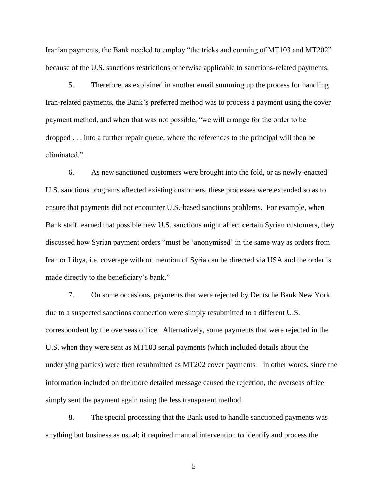Iranian payments, the Bank needed to employ "the tricks and cunning of MT103 and MT202" because of the U.S. sanctions restrictions otherwise applicable to sanctions-related payments.

 dropped . . . into a further repair queue, where the references to the principal will then be 5. Therefore, as explained in another email summing up the process for handling Iran-related payments, the Bank's preferred method was to process a payment using the cover payment method, and when that was not possible, "we will arrange for the order to be eliminated."

6. As new sanctioned customers were brought into the fold, or as newly-enacted U.S. sanctions programs affected existing customers, these processes were extended so as to ensure that payments did not encounter U.S.-based sanctions problems. For example, when Bank staff learned that possible new U.S. sanctions might affect certain Syrian customers, they discussed how Syrian payment orders "must be 'anonymised' in the same way as orders from Iran or Libya, i.e. coverage without mention of Syria can be directed via USA and the order is made directly to the beneficiary's bank."

 underlying parties) were then resubmitted as MT202 cover payments – in other words, since the 7. On some occasions, payments that were rejected by Deutsche Bank New York due to a suspected sanctions connection were simply resubmitted to a different U.S. correspondent by the overseas office. Alternatively, some payments that were rejected in the U.S. when they were sent as MT103 serial payments (which included details about the information included on the more detailed message caused the rejection, the overseas office simply sent the payment again using the less transparent method.

8. The special processing that the Bank used to handle sanctioned payments was anything but business as usual; it required manual intervention to identify and process the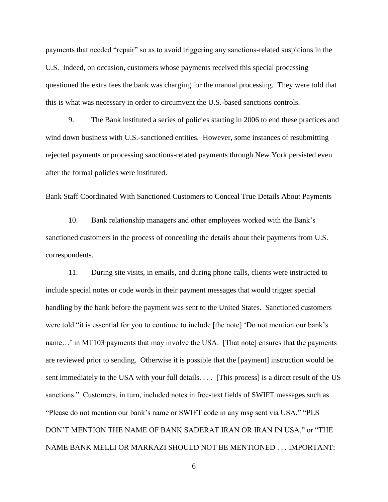payments that needed "repair" so as to avoid triggering any sanctions-related suspicions in the U.S. Indeed, on occasion, customers whose payments received this special processing questioned the extra fees the bank was charging for the manual processing. They were told that this is what was necessary in order to circumvent the U.S.-based sanctions controls.

9. The Bank instituted a series of policies starting in 2006 to end these practices and wind down business with U.S.-sanctioned entities. However, some instances of resubmitting rejected payments or processing sanctions-related payments through New York persisted even after the formal policies were instituted.

#### Bank Staff Coordinated With Sanctioned Customers to Conceal True Details About Payments

10. Bank relationship managers and other employees worked with the Bank's sanctioned customers in the process of concealing the details about their payments from U.S. correspondents.

 11. During site visits, in emails, and during phone calls, clients were instructed to sent immediately to the USA with your full details. . . . [This process] is a direct result of the US DON'T MENTION THE NAME OF BANK SADERAT IRAN OR IRAN IN USA," or "THE NAME BANK MELLI OR MARKAZI SHOULD NOT BE MENTIONED . . . IMPORTANT: include special notes or code words in their payment messages that would trigger special handling by the bank before the payment was sent to the United States. Sanctioned customers were told "it is essential for you to continue to include [the note] 'Do not mention our bank's name…' in MT103 payments that may involve the USA. [That note] ensures that the payments are reviewed prior to sending. Otherwise it is possible that the [payment] instruction would be sanctions." Customers, in turn, included notes in free-text fields of SWIFT messages such as "Please do not mention our bank's name or SWIFT code in any msg sent via USA," "PLS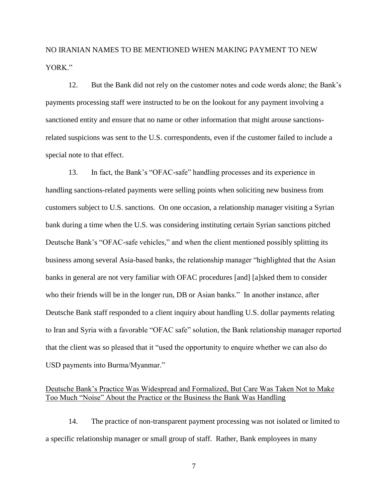# NO IRANIAN NAMES TO BE MENTIONED WHEN MAKING PAYMENT TO NEW YORK"

12. But the Bank did not rely on the customer notes and code words alone; the Bank's payments processing staff were instructed to be on the lookout for any payment involving a sanctioned entity and ensure that no name or other information that might arouse sanctionsrelated suspicions was sent to the U.S. correspondents, even if the customer failed to include a special note to that effect.

 who their friends will be in the longer run, DB or Asian banks." In another instance, after that the client was so pleased that it "used the opportunity to enquire whether we can also do 13. In fact, the Bank's "OFAC-safe" handling processes and its experience in handling sanctions-related payments were selling points when soliciting new business from customers subject to U.S. sanctions. On one occasion, a relationship manager visiting a Syrian bank during a time when the U.S. was considering instituting certain Syrian sanctions pitched Deutsche Bank's "OFAC-safe vehicles," and when the client mentioned possibly splitting its business among several Asia-based banks, the relationship manager "highlighted that the Asian banks in general are not very familiar with OFAC procedures [and] [a]sked them to consider Deutsche Bank staff responded to a client inquiry about handling U.S. dollar payments relating to Iran and Syria with a favorable "OFAC safe" solution, the Bank relationship manager reported USD payments into Burma/Myanmar."

## Too Much "Noise" About the Practice or the Business the Bank Was Handling Deutsche Bank's Practice Was Widespread and Formalized, But Care Was Taken Not to Make

14. The practice of non-transparent payment processing was not isolated or limited to a specific relationship manager or small group of staff. Rather, Bank employees in many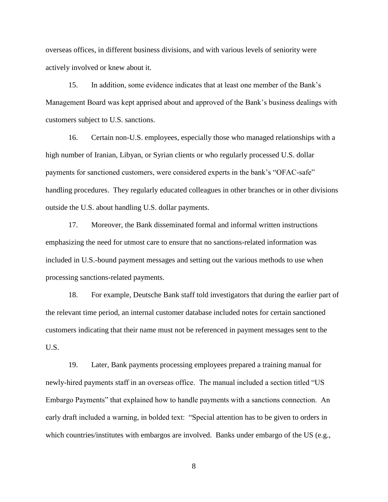overseas offices, in different business divisions, and with various levels of seniority were actively involved or knew about it.

15. In addition, some evidence indicates that at least one member of the Bank's Management Board was kept apprised about and approved of the Bank's business dealings with customers subject to U.S. sanctions.

 handling procedures. They regularly educated colleagues in other branches or in other divisions 16. Certain non-U.S. employees, especially those who managed relationships with a high number of Iranian, Libyan, or Syrian clients or who regularly processed U.S. dollar payments for sanctioned customers, were considered experts in the bank's "OFAC-safe" outside the U.S. about handling U.S. dollar payments.

17. Moreover, the Bank disseminated formal and informal written instructions emphasizing the need for utmost care to ensure that no sanctions-related information was included in U.S.-bound payment messages and setting out the various methods to use when processing sanctions-related payments.

18. For example, Deutsche Bank staff told investigators that during the earlier part of the relevant time period, an internal customer database included notes for certain sanctioned customers indicating that their name must not be referenced in payment messages sent to the U.S.

19. Later, Bank payments processing employees prepared a training manual for newly-hired payments staff in an overseas office. The manual included a section titled "US Embargo Payments" that explained how to handle payments with a sanctions connection. An early draft included a warning, in bolded text: "Special attention has to be given to orders in which countries/institutes with embargos are involved. Banks under embargo of the US (e.g.,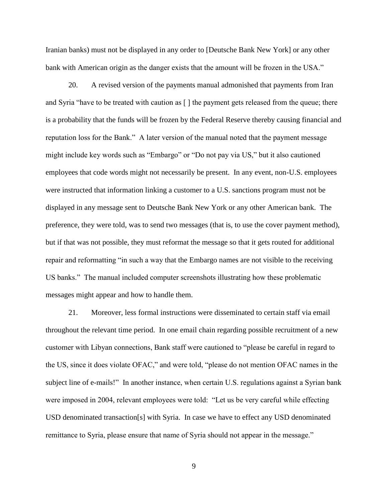Iranian banks) must not be displayed in any order to [Deutsche Bank New York] or any other bank with American origin as the danger exists that the amount will be frozen in the USA."

20. A revised version of the payments manual admonished that payments from Iran and Syria "have to be treated with caution as [ ] the payment gets released from the queue; there is a probability that the funds will be frozen by the Federal Reserve thereby causing financial and reputation loss for the Bank." A later version of the manual noted that the payment message might include key words such as "Embargo" or "Do not pay via US," but it also cautioned employees that code words might not necessarily be present. In any event, non-U.S. employees were instructed that information linking a customer to a U.S. sanctions program must not be displayed in any message sent to Deutsche Bank New York or any other American bank. The preference, they were told, was to send two messages (that is, to use the cover payment method), but if that was not possible, they must reformat the message so that it gets routed for additional repair and reformatting "in such a way that the Embargo names are not visible to the receiving US banks." The manual included computer screenshots illustrating how these problematic messages might appear and how to handle them.

subject line of e-mails!" In another instance, when certain U.S. regulations against a Syrian bank 21. Moreover, less formal instructions were disseminated to certain staff via email throughout the relevant time period. In one email chain regarding possible recruitment of a new customer with Libyan connections, Bank staff were cautioned to "please be careful in regard to the US, since it does violate OFAC," and were told, "please do not mention OFAC names in the were imposed in 2004, relevant employees were told: "Let us be very careful while effecting USD denominated transaction[s] with Syria. In case we have to effect any USD denominated remittance to Syria, please ensure that name of Syria should not appear in the message."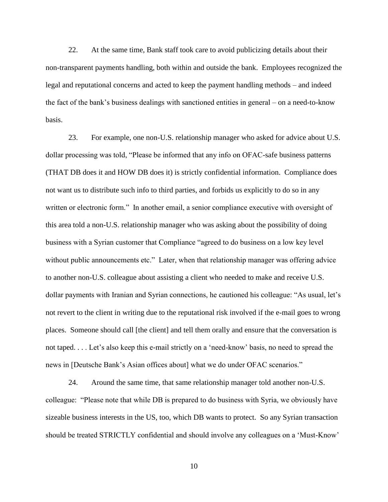legal and reputational concerns and acted to keep the payment handling methods – and indeed 22. At the same time, Bank staff took care to avoid publicizing details about their non-transparent payments handling, both within and outside the bank. Employees recognized the the fact of the bank's business dealings with sanctioned entities in general – on a need-to-know basis.

without public announcements etc." Later, when that relationship manager was offering advice not taped. . . . Let's also keep this e-mail strictly on a 'need-know' basis, no need to spread the 23. For example, one non-U.S. relationship manager who asked for advice about U.S. dollar processing was told, "Please be informed that any info on OFAC-safe business patterns (THAT DB does it and HOW DB does it) is strictly confidential information. Compliance does not want us to distribute such info to third parties, and forbids us explicitly to do so in any written or electronic form." In another email, a senior compliance executive with oversight of this area told a non-U.S. relationship manager who was asking about the possibility of doing business with a Syrian customer that Compliance "agreed to do business on a low key level to another non-U.S. colleague about assisting a client who needed to make and receive U.S. dollar payments with Iranian and Syrian connections, he cautioned his colleague: "As usual, let's not revert to the client in writing due to the reputational risk involved if the e-mail goes to wrong places. Someone should call [the client] and tell them orally and ensure that the conversation is news in [Deutsche Bank's Asian offices about] what we do under OFAC scenarios."

24. Around the same time, that same relationship manager told another non-U.S. colleague: "Please note that while DB is prepared to do business with Syria, we obviously have sizeable business interests in the US, too, which DB wants to protect. So any Syrian transaction should be treated STRICTLY confidential and should involve any colleagues on a 'Must-Know'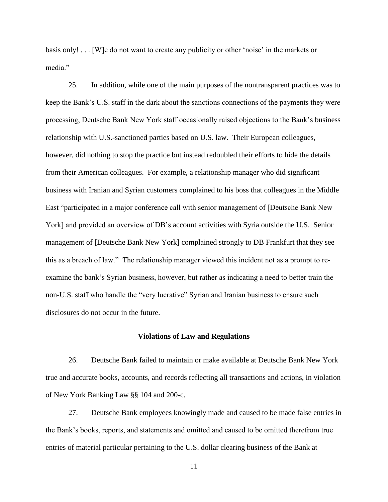basis only! . . . [W]e do not want to create any publicity or other 'noise' in the markets or media"

 this as a breach of law." The relationship manager viewed this incident not as a prompt to re-25. In addition, while one of the main purposes of the nontransparent practices was to keep the Bank's U.S. staff in the dark about the sanctions connections of the payments they were processing, Deutsche Bank New York staff occasionally raised objections to the Bank's business relationship with U.S.-sanctioned parties based on U.S. law. Their European colleagues, however, did nothing to stop the practice but instead redoubled their efforts to hide the details from their American colleagues. For example, a relationship manager who did significant business with Iranian and Syrian customers complained to his boss that colleagues in the Middle East "participated in a major conference call with senior management of [Deutsche Bank New York] and provided an overview of DB's account activities with Syria outside the U.S. Senior management of [Deutsche Bank New York] complained strongly to DB Frankfurt that they see examine the bank's Syrian business, however, but rather as indicating a need to better train the non-U.S. staff who handle the "very lucrative" Syrian and Iranian business to ensure such disclosures do not occur in the future.

#### **Violations of Law and Regulations**

 of New York Banking Law §§ 104 and 200-c. 26. Deutsche Bank failed to maintain or make available at Deutsche Bank New York true and accurate books, accounts, and records reflecting all transactions and actions, in violation

27. Deutsche Bank employees knowingly made and caused to be made false entries in the Bank's books, reports, and statements and omitted and caused to be omitted therefrom true entries of material particular pertaining to the U.S. dollar clearing business of the Bank at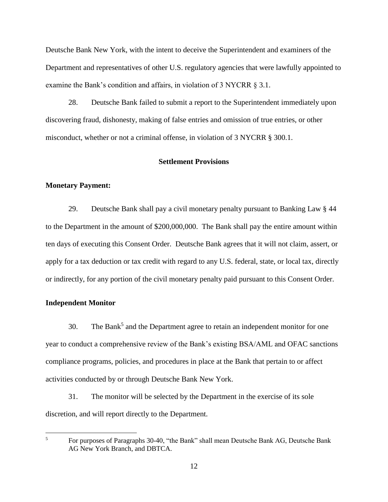Department and representatives of other U.S. regulatory agencies that were lawfully appointed to examine the Bank's condition and affairs, in violation of 3 NYCRR § 3.1. Deutsche Bank New York, with the intent to deceive the Superintendent and examiners of the

 misconduct, whether or not a criminal offense, in violation of 3 NYCRR § 300.1. 28. Deutsche Bank failed to submit a report to the Superintendent immediately upon discovering fraud, dishonesty, making of false entries and omission of true entries, or other

### **Settlement Provisions**

#### **Monetary Payment:**

 29. Deutsche Bank shall pay a civil monetary penalty pursuant to Banking Law § 44 to the Department in the amount of \$200,000,000. The Bank shall pay the entire amount within ten days of executing this Consent Order. Deutsche Bank agrees that it will not claim, assert, or apply for a tax deduction or tax credit with regard to any U.S. federal, state, or local tax, directly or indirectly, for any portion of the civil monetary penalty paid pursuant to this Consent Order.

#### **Independent Monitor**

30. The Bank<sup>5</sup> and the Department agree to retain an independent monitor for one year to conduct a comprehensive review of the Bank's existing BSA/AML and OFAC sanctions compliance programs, policies, and procedures in place at the Bank that pertain to or affect activities conducted by or through Deutsche Bank New York.

31. The monitor will be selected by the Department in the exercise of its sole discretion, and will report directly to the Department.

 $\overline{a}$ 5

For purposes of Paragraphs 30-40, "the Bank" shall mean Deutsche Bank AG, Deutsche Bank AG New York Branch, and DBTCA.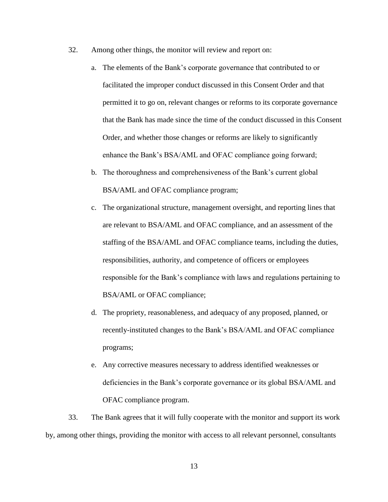- 32. Among other things, the monitor will review and report on:
	- a. The elements of the Bank's corporate governance that contributed to or facilitated the improper conduct discussed in this Consent Order and that permitted it to go on, relevant changes or reforms to its corporate governance that the Bank has made since the time of the conduct discussed in this Consent Order, and whether those changes or reforms are likely to significantly enhance the Bank's BSA/AML and OFAC compliance going forward;
	- b. The thoroughness and comprehensiveness of the Bank's current global BSA/AML and OFAC compliance program;
	- c. The organizational structure, management oversight, and reporting lines that are relevant to BSA/AML and OFAC compliance, and an assessment of the staffing of the BSA/AML and OFAC compliance teams, including the duties, responsibilities, authority, and competence of officers or employees responsible for the Bank's compliance with laws and regulations pertaining to BSA/AML or OFAC compliance;
	- d. The propriety, reasonableness, and adequacy of any proposed, planned, or recently-instituted changes to the Bank's BSA/AML and OFAC compliance programs;
	- e. Any corrective measures necessary to address identified weaknesses or deficiencies in the Bank's corporate governance or its global BSA/AML and OFAC compliance program.

33. The Bank agrees that it will fully cooperate with the monitor and support its work by, among other things, providing the monitor with access to all relevant personnel, consultants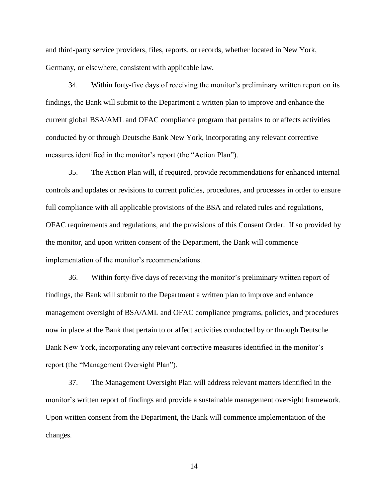and third-party service providers, files, reports, or records, whether located in New York, Germany, or elsewhere, consistent with applicable law.

34. Within forty-five days of receiving the monitor's preliminary written report on its findings, the Bank will submit to the Department a written plan to improve and enhance the current global BSA/AML and OFAC compliance program that pertains to or affects activities conducted by or through Deutsche Bank New York, incorporating any relevant corrective measures identified in the monitor's report (the "Action Plan").

35. The Action Plan will, if required, provide recommendations for enhanced internal controls and updates or revisions to current policies, procedures, and processes in order to ensure full compliance with all applicable provisions of the BSA and related rules and regulations, OFAC requirements and regulations, and the provisions of this Consent Order. If so provided by the monitor, and upon written consent of the Department, the Bank will commence implementation of the monitor's recommendations.

36. Within forty-five days of receiving the monitor's preliminary written report of findings, the Bank will submit to the Department a written plan to improve and enhance management oversight of BSA/AML and OFAC compliance programs, policies, and procedures now in place at the Bank that pertain to or affect activities conducted by or through Deutsche Bank New York, incorporating any relevant corrective measures identified in the monitor's report (the "Management Oversight Plan").

37. The Management Oversight Plan will address relevant matters identified in the monitor's written report of findings and provide a sustainable management oversight framework. Upon written consent from the Department, the Bank will commence implementation of the changes.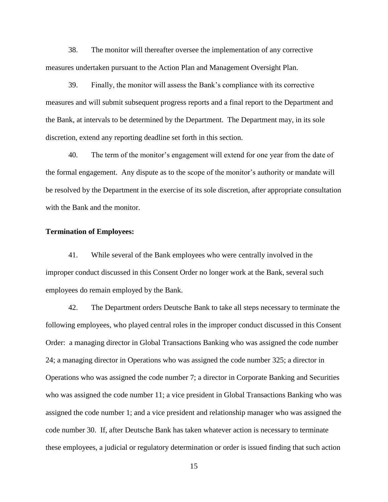38. The monitor will thereafter oversee the implementation of any corrective measures undertaken pursuant to the Action Plan and Management Oversight Plan.

39. Finally, the monitor will assess the Bank's compliance with its corrective measures and will submit subsequent progress reports and a final report to the Department and the Bank, at intervals to be determined by the Department. The Department may, in its sole discretion, extend any reporting deadline set forth in this section.

40. The term of the monitor's engagement will extend for one year from the date of the formal engagement. Any dispute as to the scope of the monitor's authority or mandate will be resolved by the Department in the exercise of its sole discretion, after appropriate consultation with the Bank and the monitor.

#### **Termination of Employees:**

41. While several of the Bank employees who were centrally involved in the improper conduct discussed in this Consent Order no longer work at the Bank, several such employees do remain employed by the Bank.

42. The Department orders Deutsche Bank to take all steps necessary to terminate the following employees, who played central roles in the improper conduct discussed in this Consent Order: a managing director in Global Transactions Banking who was assigned the code number 24; a managing director in Operations who was assigned the code number 325; a director in Operations who was assigned the code number 7; a director in Corporate Banking and Securities who was assigned the code number 11; a vice president in Global Transactions Banking who was assigned the code number 1; and a vice president and relationship manager who was assigned the code number 30. If, after Deutsche Bank has taken whatever action is necessary to terminate these employees, a judicial or regulatory determination or order is issued finding that such action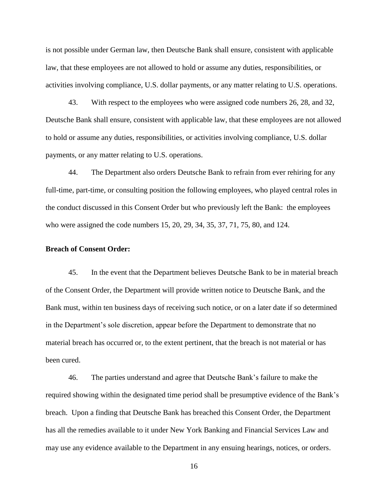is not possible under German law, then Deutsche Bank shall ensure, consistent with applicable law, that these employees are not allowed to hold or assume any duties, responsibilities, or activities involving compliance, U.S. dollar payments, or any matter relating to U.S. operations.

43. With respect to the employees who were assigned code numbers 26, 28, and 32, Deutsche Bank shall ensure, consistent with applicable law, that these employees are not allowed to hold or assume any duties, responsibilities, or activities involving compliance, U.S. dollar payments, or any matter relating to U.S. operations.

 44. The Department also orders Deutsche Bank to refrain from ever rehiring for any full-time, part-time, or consulting position the following employees, who played central roles in the conduct discussed in this Consent Order but who previously left the Bank: the employees who were assigned the code numbers 15, 20, 29, 34, 35, 37, 71, 75, 80, and 124.

#### **Breach of Consent Order:**

 45. In the event that the Department believes Deutsche Bank to be in material breach of the Consent Order, the Department will provide written notice to Deutsche Bank, and the Bank must, within ten business days of receiving such notice, or on a later date if so determined in the Department's sole discretion, appear before the Department to demonstrate that no material breach has occurred or, to the extent pertinent, that the breach is not material or has been cured.

 breach. Upon a finding that Deutsche Bank has breached this Consent Order, the Department may use any evidence available to the Department in any ensuing hearings, notices, or orders. 46. The parties understand and agree that Deutsche Bank's failure to make the required showing within the designated time period shall be presumptive evidence of the Bank's has all the remedies available to it under New York Banking and Financial Services Law and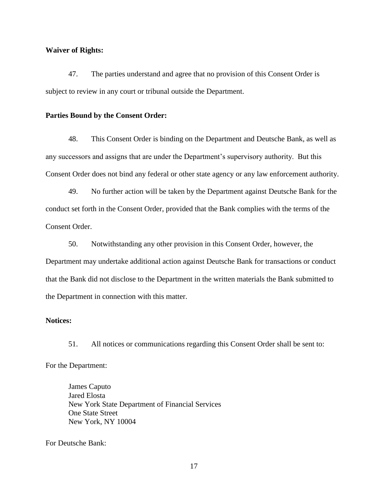#### **Waiver of Rights:**

47. The parties understand and agree that no provision of this Consent Order is subject to review in any court or tribunal outside the Department.

#### **Parties Bound by the Consent Order:**

48. This Consent Order is binding on the Department and Deutsche Bank, as well as any successors and assigns that are under the Department's supervisory authority. But this Consent Order does not bind any federal or other state agency or any law enforcement authority.

 49. No further action will be taken by the Department against Deutsche Bank for the conduct set forth in the Consent Order, provided that the Bank complies with the terms of the Consent Order.

 Department may undertake additional action against Deutsche Bank for transactions or conduct 50. Notwithstanding any other provision in this Consent Order, however, the that the Bank did not disclose to the Department in the written materials the Bank submitted to the Department in connection with this matter.

#### **Notices:**

51. All notices or communications regarding this Consent Order shall be sent to: For the Department:

James Caputo Jared Elosta New York State Department of Financial Services One State Street New York, NY 10004

For Deutsche Bank: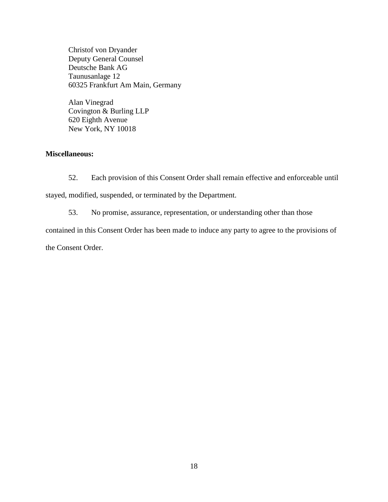Deutsche Bank AG Christof von Dryander Deputy General Counsel Taunusanlage 12 60325 Frankfurt Am Main, Germany

 Covington & Burling LLP Alan Vinegrad 620 Eighth Avenue New York, NY 10018

## **Miscellaneous:**

52. Each provision of this Consent Order shall remain effective and enforceable until stayed, modified, suspended, or terminated by the Department.

53. No promise, assurance, representation, or understanding other than those

contained in this Consent Order has been made to induce any party to agree to the provisions of

the Consent Order.